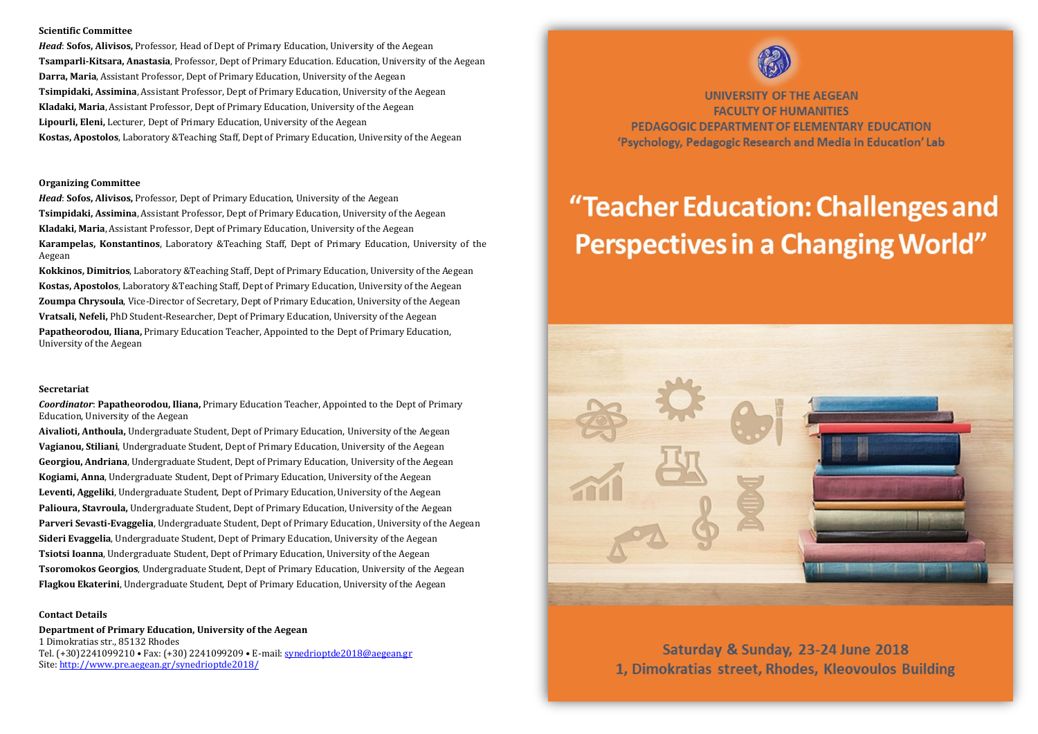### **Scientific Committee**

*Head*: **Sofos, Alivisos,** Professor, Head of Dept of Primary Education, University of the Aegean **Tsamparli-Kitsara, Anastasia**, Professor, Dept of Primary Education. Education, University of the Aegean **Darra, Maria**, Assistant Professor, Dept of Primary Education, University of the Aegean **Tsimpidaki, Assimina**, Assistant Professor, Dept of Primary Education, University of the Aegean **Kladaki, Maria**, Assistant Professor, Dept of Primary Education, University of the Aegean **Lipourli, Eleni,** Lecturer, Dept of Primary Education, University of the Aegean **Kostas, Apostolos**, Laboratory &Teaching Staff, Dept of Primary Education, University of the Aegean

#### **Organizing Committee**

*Head*: **Sofos, Alivisos,** Professor, Dept of Primary Education, University of the Aegean **Tsimpidaki, Assimina**, Assistant Professor, Dept of Primary Education, University of the Aegean **Kladaki, Maria**, Assistant Professor, Dept of Primary Education, University of the Aegean **Karampelas, Konstantinos**, Laboratory &Teaching Staff, Dept of Primary Education, University of the Aegean

**Kokkinos, Dimitrios**, Laboratory &Teaching Staff, Dept of Primary Education, University of the Aegean **Kostas, Apostolos**, Laboratory &Teaching Staff, Dept of Primary Education, University of the Aegean **Zoumpa Chrysoula**, Vice-Director of Secretary, Dept of Primary Education, University of the Aegean **Vratsali, Nefeli,** PhD Student-Researcher, Dept of Primary Education, University of the Aegean **Papatheorodou, Iliana,** Primary Education Teacher, Appointed to the Dept of Primary Education, University of the Aegean

#### **Secretariat**

*Coordinator*: **Papatheorodou, Iliana,** Primary Education Teacher, Appointed to the Dept of Primary Education, University of the Aegean

**Aivalioti, Anthoula,** Undergraduate Student, Dept of Primary Education, University of the Aegean **Vagianou, Stiliani**, Undergraduate Student, Dept of Primary Education, University of the Aegean **Georgiou, Andriana**, Undergraduate Student, Dept of Primary Education, University of the Aegean **Kogiami, Anna**, Undergraduate Student, Dept of Primary Education, University of the Aegean **Leventi, Aggeliki**, Undergraduate Student, Dept of Primary Education, University of the Aegean **Palioura, Stavroula,** Undergraduate Student, Dept of Primary Education, University of the Aegean **Parveri Sevasti-Evaggelia**, Undergraduate Student, Dept of Primary Education, University of the Aegean **Sideri Evaggelia**, Undergraduate Student, Dept of Primary Education, University of the Aegean **Tsiotsi Ioanna**, Undergraduate Student, Dept of Primary Education, University of the Aegean **Tsoromokos Georgios**, Undergraduate Student, Dept of Primary Education, University of the Aegean **Flagkou Ekaterini**, Undergraduate Student, Dept of Primary Education, University of the Aegean

#### **Contact Details**

**Department of Primary Education, University of the Aegean** 1 Dimokratias str., 85132 Rhodes Tel. (+30)2241099210 • Fax: (+30) 2241099209 • E-mail[: synedrioptde2018@aegean.gr](mailto:synedrioptde2018@aegean.gr) Site[: http://www.pre.aegean.gr/synedrioptde2018/](http://www.pre.aegean.gr/synedrioptde2018/)



**UNIVERSITY OF THE AEGEAN FACULTY OF HUMANITIES** PEDAGOGIC DEPARTMENT OF ELEMENTARY EDUCATION 'Psychology, Pedagogic Research and Media in Education' Lab

# "Teacher Education: Challenges and **Perspectives in a Changing World"**



Saturday & Sunday, 23-24 June 2018 1. Dimokratias street, Rhodes, Kleovoulos Building